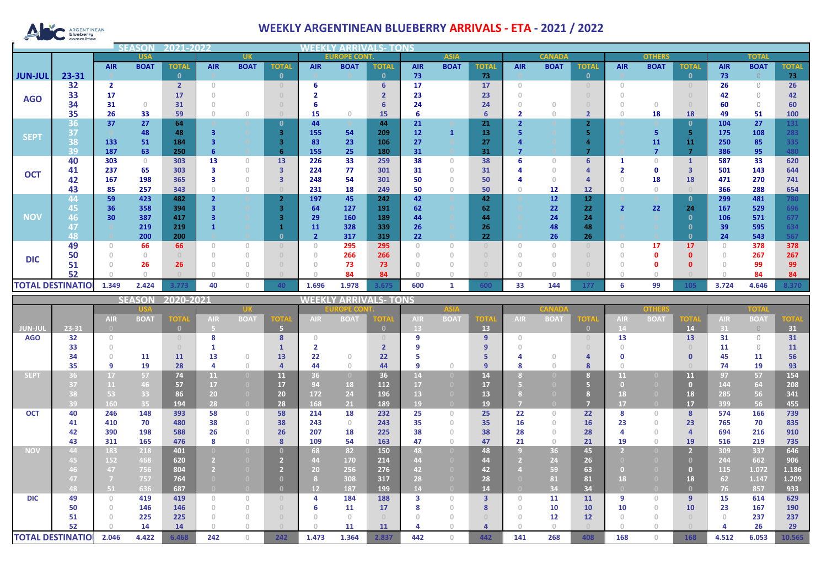

## **WEEKLY ARGENTINEAN BLUEBERRY ARRIVALS - ETA - 2021 / 2022**

|                |                               |                                       | SO)         | 2021-2022               |                                  |                                       |                                    |                   | MEEKLI<br><b>ARRIVALS- TONS</b> |                  |             |                           |                         |                                       |                       |                         |                                              |                    |                                       |                                                                    |                     |              |  |  |  |  |  |  |  |  |  |  |
|----------------|-------------------------------|---------------------------------------|-------------|-------------------------|----------------------------------|---------------------------------------|------------------------------------|-------------------|---------------------------------|------------------|-------------|---------------------------|-------------------------|---------------------------------------|-----------------------|-------------------------|----------------------------------------------|--------------------|---------------------------------------|--------------------------------------------------------------------|---------------------|--------------|--|--|--|--|--|--|--|--|--|--|
|                |                               |                                       | <b>USA</b>  |                         |                                  | <b>UK</b>                             |                                    |                   | <b>EUROPE COM</b>               |                  |             | <b>ASIA</b>               |                         |                                       | <b>CANAD</b>          |                         |                                              | <b>OTHERS</b>      |                                       |                                                                    | <b>TOTAL</b>        |              |  |  |  |  |  |  |  |  |  |  |
|                |                               | <b>AIR</b>                            | <b>BOAT</b> | <b>TOTAL</b>            | <b>AIR</b>                       | <b>BOAT</b>                           | <b>TOTAI</b>                       | <b>AIR</b>        | <b>BOAT</b>                     | <b>TOTAL</b>     | <b>AIR</b>  | <b>BOAT</b>               | <b>TOTAL</b>            | <b>AIR</b>                            | <b>BOAT</b>           | <b>TOTAL</b>            | <b>AIR</b>                                   | <b>BOAT</b>        | <b>TOTAL</b>                          | <b>AIR</b>                                                         | <b>BOAT</b>         | <b>TOTAL</b> |  |  |  |  |  |  |  |  |  |  |
| <b>JUN-JUI</b> | 23-31                         |                                       |             | $\mathbf{0}$            |                                  |                                       | $\mathbf{0}$                       |                   |                                 | $\mathbf{0}$     | 73          |                           | 73                      |                                       |                       | $\mathbf{0}$            |                                              |                    | $\mathbf{0}$                          | 73                                                                 | $\Omega$            | 73           |  |  |  |  |  |  |  |  |  |  |
|                | 32                            | $\overline{2}$                        |             | $\overline{2}$          | $\circ$                          |                                       | $\circ$                            | 6                 |                                 | $6\phantom{a}$   | 17          |                           | 17                      | $\circledcirc$                        |                       | $\circ$                 | $\,0\,$                                      |                    | $\theta$                              | 26                                                                 | $\circ$             | 26           |  |  |  |  |  |  |  |  |  |  |
| <b>AGO</b>     | 33                            | 17                                    |             | 17                      | $\circ$                          |                                       | $\circ$                            | $\overline{2}$    |                                 | $\overline{2}$   | 23          |                           | 23                      | $\circ$                               |                       | $\cup$                  | $\circ$                                      |                    | $\circ$                               | 42                                                                 | $\circlearrowright$ | 42           |  |  |  |  |  |  |  |  |  |  |
|                | 34                            | 31                                    | $\circ$     | 31                      | $\circ$                          |                                       | $\circ$                            | 6                 |                                 | 6                | 24          |                           | 24                      | $\circ$                               | $\mathbf{0}$          | $\theta$                | $\circ$                                      | $\circ$            | $\theta$                              | 60                                                                 | $\circlearrowright$ | 60           |  |  |  |  |  |  |  |  |  |  |
|                | 35                            | 26                                    | 33          | 59                      | $\circ$                          | $\mathbb O$                           | $\theta$                           | 15                | $\circ$                         | 15               | 6           |                           | $6\phantom{1}6$         | $\overline{2}$                        | $\circ$               | $\overline{\mathbf{2}}$ | $\sqrt{a}$                                   | 18                 | 18                                    | 49                                                                 | 51                  | 100          |  |  |  |  |  |  |  |  |  |  |
|                | 36                            | 37                                    | 27          | 64                      |                                  |                                       | $\mathbf{0}$                       | 44                |                                 | 44               | 21          |                           | 21                      | $\overline{2}$                        |                       | 2 <sup>1</sup>          |                                              |                    | $\mathbf{0}$                          | 104                                                                | 27                  | 131          |  |  |  |  |  |  |  |  |  |  |
|                | 37                            |                                       | 48          | 48                      | 3                                | $\circ$                               | $\overline{\mathbf{3}}$            | 155               | 54                              | 209              | 12          | $\mathbf{1}$              | 13                      | 5                                     |                       | 5 <sub>1</sub>          |                                              | 5 <sub>5</sub>     | 5                                     | 175                                                                | 108                 | 283          |  |  |  |  |  |  |  |  |  |  |
| <b>SEPT</b>    | 38                            | 133                                   | 51          | 184                     | 3                                |                                       | $\overline{\mathbf{3}}$            | 83                | 23                              | 106              | 27          |                           | 27                      | $\overline{a}$                        |                       | $\overline{\mathbf{4}}$ |                                              | 11                 | 11                                    | 250                                                                | 85                  | 335          |  |  |  |  |  |  |  |  |  |  |
|                | 39                            | 187                                   | 63          | 250                     | 6                                |                                       | 6                                  | 155               | 25                              | 180              | 31          |                           | 31                      | $\overline{7}$                        |                       | $\overline{7}$          |                                              | $\overline{7}$     | $\overline{7}$                        | 386                                                                | 95                  | 480          |  |  |  |  |  |  |  |  |  |  |
|                | 40                            | 303                                   | $\mathbb O$ | 303                     | 13                               | $\circ$                               | 13                                 | 226               | 33                              | 259              | 38          | $\circ$                   | 38                      | 6                                     | $\circ$               | 6                       | $\mathbf{1}$                                 | $\circ$            | $\mathbf{1}$                          | 587                                                                | 33                  | 620          |  |  |  |  |  |  |  |  |  |  |
|                | 41                            | 237                                   | 65          | 303                     | 3                                | $\begin{array}{c} 0 \\ 0 \end{array}$ | 3                                  | 224               | 77                              | 301              | 31          | $\circ$                   | 31                      | $\overline{a}$                        | $\circ$               | 4                       | $\overline{\mathbf{2}}$                      | 0                  | $\overline{\mathbf{3}}$               | 501                                                                | 143                 | 644          |  |  |  |  |  |  |  |  |  |  |
| <b>OCT</b>     | 42                            | 167                                   | 198         | 365                     | 3                                | $\mathbb O$                           | $\overline{\mathbf{3}}$            | 248               | 54                              | 301              | 50          | $\mathbb O$               | 50                      | $\overline{a}$                        | $\circ$               | 4                       | $\circ$                                      | 18                 | 18                                    | 471                                                                | 270                 | 741          |  |  |  |  |  |  |  |  |  |  |
|                | 43                            | 85                                    | 257         | 343                     | $\circ$                          | $\begin{array}{c} 0 \\ 0 \end{array}$ | $\bigcirc$                         | 231               | 18                              | 249              | 50          | $\circ$                   | 50                      | $\circ$                               | 12                    | 12                      | $\circ$                                      | $\circ$            | $\cap$                                | 366                                                                | 288                 | 654          |  |  |  |  |  |  |  |  |  |  |
|                | 44                            | 59                                    | 423         | 482                     | $\overline{2}$                   |                                       | $\overline{2}$                     | 197               | 45                              | 242              | 42          |                           | 42                      |                                       | 12                    | 12                      |                                              |                    | $\mathbf{0}$                          | 299                                                                | 481                 | 780          |  |  |  |  |  |  |  |  |  |  |
|                | 45                            | 36                                    | 358         | 394                     | 3                                |                                       | $\overline{\mathbf{3}}$            | 64                | 127                             | 191              | 62          |                           | 62                      |                                       | 22                    | 22                      | $\overline{2}$                               | 22                 | 24                                    | 167                                                                | 529                 | 696          |  |  |  |  |  |  |  |  |  |  |
| <b>NOV</b>     | 46                            | 30                                    | 387         | 417                     | 3                                |                                       | $\overline{\mathbf{3}}$            | 29                | 160                             | 189              | 44          |                           | 44                      |                                       | 24                    | 24                      |                                              |                    | $\mathbf{0}$                          | 106                                                                | 571                 | 677          |  |  |  |  |  |  |  |  |  |  |
|                | 47                            |                                       | 219         | 219                     | $\mathbf{1}$                     |                                       | $\mathbf{1}$                       | 11                | 328                             | 339              | 26          |                           | 26                      |                                       | 48                    | 48                      |                                              |                    | $\mathbf{0}$                          | 39                                                                 | 595                 | 634          |  |  |  |  |  |  |  |  |  |  |
|                | 48                            |                                       | 200         | 200                     |                                  |                                       | $\mathbf{0}$                       | $\overline{2}$    | 317                             | 319              | 22          |                           | 22                      |                                       | 26                    | 26                      |                                              |                    | $\mathbf{0}$                          | 24                                                                 | 543                 | 567          |  |  |  |  |  |  |  |  |  |  |
|                | 49                            | $\circ$                               | 66          | 66                      | $\circ$                          | $\mathbb O$                           | $\begin{array}{c} \n0 \end{array}$ | $\circ$           | 295                             | 295              | $\circ$     | $\circ$                   | $\circ$                 | $\begin{array}{c} 0 \\ 0 \end{array}$ | $\circ$               | $\circ$                 | $\,0\,$                                      | 17                 | 17                                    | $\circ$                                                            | 378                 | 378          |  |  |  |  |  |  |  |  |  |  |
|                | 50                            | $\begin{array}{c} 0 \\ 0 \end{array}$ | $\mathbb O$ | $\Box$                  | $\circ$                          | $\,0\,$                               | $\circ$                            | $\circ$           | 266                             | 266              | $\circ$     | $\circ$                   | $\circ$                 | $\begin{array}{c} 0 \\ 0 \end{array}$ | $\circ$               | $\cup$                  | $\circledcirc$                               | $\mathbf 0$        | $\mathbf{0}$                          | $\circledcirc$                                                     | 267                 | 267          |  |  |  |  |  |  |  |  |  |  |
| <b>DIC</b>     | 51                            | $\circ$                               | 26          | 26                      | $\circ$                          | $\,$ $\,$ $\,$                        | $\circ$                            | $\circ$           | 73                              | 73               | $\circ$     | $\mathbf{0}$              | $\circ$                 | $\Omega$                              | $\circ$               | $\circ$                 | $\circ$                                      | $\mathbf 0$        | $\mathbf{0}$                          | $\circ$                                                            | 99                  | 99           |  |  |  |  |  |  |  |  |  |  |
|                | 52                            | $\Omega$                              | $\circ$     |                         | $\mathbf{0}$                     | $\circ$                               | $\bigcirc$                         | $\Omega$          | 84                              | 84               | $\circ$     | $\circ$                   | $\sqrt{0}$              | $\Omega$                              | $\Omega$              |                         | $\mathbf{0}$                                 | $\circ$            |                                       | $\cup$                                                             | 84                  | 84           |  |  |  |  |  |  |  |  |  |  |
|                |                               |                                       | 2.424       |                         |                                  |                                       |                                    |                   |                                 |                  |             |                           |                         |                                       |                       |                         | 6                                            |                    |                                       |                                                                    |                     |              |  |  |  |  |  |  |  |  |  |  |
|                | <b>TOTAL DESTINATIO</b>       | 1.349                                 |             | 3.773                   | 40                               | $\mathbb O$                           | 40                                 | 1.696             | 1.978                           | 3.675            | 600         | $\mathbf{1}$              | 600                     | 33                                    | 144                   | 177                     |                                              | 99                 | 105                                   | 3.724                                                              | 4.646               | 3.370        |  |  |  |  |  |  |  |  |  |  |
|                |                               |                                       |             |                         |                                  |                                       |                                    |                   |                                 |                  |             |                           |                         |                                       |                       |                         |                                              |                    |                                       | <b>SEASON</b><br>2020-2021<br><b>ARRIVALS-TONS</b><br><b>NEEKI</b> |                     |              |  |  |  |  |  |  |  |  |  |  |
|                |                               |                                       |             |                         |                                  |                                       |                                    |                   |                                 |                  |             |                           |                         |                                       |                       |                         |                                              |                    |                                       |                                                                    |                     |              |  |  |  |  |  |  |  |  |  |  |
|                |                               |                                       |             |                         |                                  |                                       |                                    |                   |                                 |                  |             |                           |                         |                                       |                       |                         |                                              |                    |                                       |                                                                    |                     |              |  |  |  |  |  |  |  |  |  |  |
|                |                               | <b>AIR</b>                            | <b>BOAT</b> | <b>TOTA</b>             | <b>AIR</b>                       | <b>BOAT</b>                           | <b>OTA</b>                         | <b>AIR</b>        | <b>BOAT</b>                     | $_{\odot\rm Hz}$ | AIR.        | <b>BOAT</b>               | ЮT.                     | <b>AIR</b>                            | <b>BOAT</b>           | <b>OTA</b>              | <b>AIR</b>                                   | <b>BOAT</b>        | ЮT                                    | <b>AIR</b>                                                         | <b>BOAT</b>         | OT.          |  |  |  |  |  |  |  |  |  |  |
| <b>JUN-JU</b>  | $23 - 31$                     |                                       |             | $\overline{\mathbf{0}}$ | 5.                               |                                       | 5                                  |                   |                                 | $\overline{0}$   | 13          |                           | 13                      |                                       |                       | $\mathbf{0}$            | 14                                           |                    | 14                                    | 31                                                                 | $\bigcirc$          | 31           |  |  |  |  |  |  |  |  |  |  |
| <b>AGO</b>     | 32                            | $\circ$                               |             | $\overline{0}$          | 8                                |                                       | 8                                  | $\circ$           |                                 | $\cup$           | 9           |                           | $\overline{9}$          | $\Omega$                              |                       | $\mathbf{0}$            | 13                                           |                    | 13                                    | 31                                                                 | $\circledcirc$      | 31           |  |  |  |  |  |  |  |  |  |  |
|                | 33                            | $\begin{array}{c} 0 \\ 0 \end{array}$ |             | $\circ$                 | $\mathbf{1}$                     |                                       | $\mathbf{1}$                       | $\overline{2}$    |                                 | $\overline{2}$   | 9           |                           | 9                       | $\Omega$                              |                       | $\overline{0}$          | $\sqrt{a}$                                   |                    | $\begin{array}{c} 0 \\ 0 \end{array}$ | 11                                                                 | $\circlearrowright$ | 11           |  |  |  |  |  |  |  |  |  |  |
|                | 34                            | $\circledcirc$                        | 11          | 11                      | 13                               | $\begin{array}{c} 0 \\ 0 \end{array}$ | 13                                 | 22                | $\circ$                         | 22               | 5           |                           | 5                       | $\overline{a}$                        | $\circ$               | 4                       | $\mathbf 0$                                  |                    | $\mathbf{0}$                          | 45                                                                 | 11                  | 56           |  |  |  |  |  |  |  |  |  |  |
|                | 35                            | 9                                     | 19          | 28                      | 4                                | $\mathbb O$                           | $\overline{4}$                     | 44                | $\theta$                        | 44               | 9           | $\circ$                   | $\overline{9}$          | 8                                     | $\circ$               | 8                       | $\sqrt{a}$                                   |                    | $\cap$                                | 74                                                                 | 19                  | 93           |  |  |  |  |  |  |  |  |  |  |
| <b>SEPT</b>    | 36                            | 17                                    | 57          | 74                      | 11                               | $\overline{0}$                        | 11                                 | 36                |                                 | 36               | 14          | $\overline{0}$            | 14                      | $\mathbf{8}$                          |                       | 8                       | 11                                           | $\overline{0}$     | 11                                    | 97                                                                 | 57                  | 154          |  |  |  |  |  |  |  |  |  |  |
|                | 37                            | 11                                    | 46          | 57                      | 17                               | $\overline{0}$                        | 17                                 | 94                | 18                              | 112              | 17          | $\overline{0}$            | 17                      | Б                                     | $\overline{0}$        | 5 <sup>1</sup>          | $\overline{0}$                               | $\overline{0}$     | $\overline{0}$                        | 144                                                                | 64                  | 208          |  |  |  |  |  |  |  |  |  |  |
|                | 38                            | 53                                    | 33          | 86                      | 20 <sub>1</sub>                  | $\overline{0}$                        | 20                                 | 172               | 24                              | 196              | 13          | $\overline{0}$            | 13                      | 8                                     | $\overline{0}$        | 8 <sup>°</sup>          | 18                                           | $\overline{0}$     | 18                                    | 285                                                                | 56                  | 341          |  |  |  |  |  |  |  |  |  |  |
|                | 39                            | 160                                   | 35          | 194                     | 28                               | $\bullet$                             | 28                                 | 168               | 21                              | 189              | 19          |                           | 19                      |                                       |                       | $\overline{7}$          | 17                                           |                    | 17                                    | 399                                                                |                     | 455          |  |  |  |  |  |  |  |  |  |  |
| <b>OCT</b>     | 40                            | 246                                   | 148         | 393                     | 58                               | $\circ$                               | 58                                 | 214               | 18                              | 232              | 25          | $\circ$                   | 25                      | 22                                    | $\circ$               | 22                      | 8                                            | $\mathbb O$        | 8                                     | 574                                                                | 56<br>166           | 739          |  |  |  |  |  |  |  |  |  |  |
|                | 41                            | 410                                   | 70          | 480                     | 38                               | $\begin{array}{c} 0 \\ 0 \end{array}$ | 38                                 | 243               | $\mathbb O$                     | 243              | 35          | $\circ$                   | 35                      | 16                                    | $\circ$               | 16                      | 23                                           | $\circ$            | 23                                    | 765                                                                | 70                  | 835          |  |  |  |  |  |  |  |  |  |  |
|                | 42                            | 390                                   | 198         | 588                     | 26                               | $\mathbb O$                           | 26                                 | 207               | 18                              | 225              | 38          | $\circ$                   | 38                      | 28                                    | $\circledcirc$        | 28                      | $\overline{4}$                               | $\mathbb O$        | 4                                     | 694                                                                | 216                 | 910          |  |  |  |  |  |  |  |  |  |  |
|                | 43                            | 311                                   |             |                         | 8                                | $\mathbb O$                           | 8                                  |                   |                                 |                  |             | $\circ$                   |                         | 21                                    | $\circ$               | 21                      | 19                                           | $\circledcirc$     | 19                                    | 516                                                                |                     |              |  |  |  |  |  |  |  |  |  |  |
|                |                               |                                       | 165         | 476                     |                                  |                                       |                                    | 109               | 54                              | 163              | 47          |                           | 47                      |                                       |                       |                         |                                              | $\overline{0}$     |                                       |                                                                    | 219                 | 735          |  |  |  |  |  |  |  |  |  |  |
| <b>NOV</b>     | 44                            | 183                                   | 218         | 401                     |                                  | $\overline{0}$                        | $\mathbf{0}$                       | 68                | 82                              | 150              | 48          | $\overline{0}$            | 48                      | $\overline{9}$                        | 36                    | 45                      | $\overline{2}$                               |                    | $\overline{2}$                        | 309                                                                | 337                 | 646          |  |  |  |  |  |  |  |  |  |  |
|                | 45                            | 152                                   | 468         | 620                     | 2 <sup>1</sup>                   | $\bullet$                             | $\overline{2}$                     | 44                | 170                             | 214              | 44          | $\mathbf{0}$              | 44                      | $\mathbf{2}$                          | 24                    | 26                      |                                              | $\bullet$          | $\mathbf{0}$                          | 244                                                                | 662                 | 906          |  |  |  |  |  |  |  |  |  |  |
|                | 46                            | 47                                    | 756         | 804                     | 2 <sup>1</sup>                   | $\overline{0}$                        | $\overline{2}$                     | 20 <sub>2</sub>   | 256                             | 276              | 42          | $\overline{0}$            | 42                      |                                       | 59                    | 63                      | $\bullet$                                    |                    | $\bullet$                             | 115                                                                | 1.072               | 1.186        |  |  |  |  |  |  |  |  |  |  |
|                | 47                            | $\mathcal{I}$                         | 757         | 764                     | $\overline{0}$<br>$\overline{0}$ | $\overline{0}$                        | $\mathbf{0}$                       | 8                 | 308                             | 317              | 28          | $\overline{0}$            | 28                      |                                       | 81                    | 81                      | 18<br>$\Box$                                 | $\overline{0}$     | 18                                    | 62                                                                 | 1.147               | 1.209        |  |  |  |  |  |  |  |  |  |  |
|                | 48                            | 51                                    | 636         | 687                     |                                  | $\overline{0}$                        | $\mathbf{0}$                       | 12 <sup>°</sup>   | 187                             | 199              | 14          | $\overline{0}$            | 14                      |                                       | 34                    | 34                      |                                              | $\overline{0}$     | $\mathbf{0}$                          | 76                                                                 | 857                 | 933          |  |  |  |  |  |  |  |  |  |  |
| <b>DIC</b>     | 49                            | $\circ$                               | 419         | 419                     | $\mathbf 0$                      | $\circ$                               | $\circ$                            | 4                 | 184                             | 188              | 3           | $\circ$                   | $\overline{\mathbf{3}}$ | $\circ$                               | 11                    | 11                      | 9                                            | $\circ$            | 9                                     | 15                                                                 | 614                 | 629          |  |  |  |  |  |  |  |  |  |  |
|                | 50                            | $\begin{array}{c} 0 \\ 0 \end{array}$ | 146         | 146                     | $\circ$                          | $\mathbb O$                           | $\circ$                            | 6                 | 11                              | 17               | 8           | $\circ$                   | 8                       | $\circ$                               | 10                    | 10                      | 10                                           | $\circ$            | 10                                    | 23                                                                 | 167                 | 190          |  |  |  |  |  |  |  |  |  |  |
|                | 51                            | $\begin{array}{c} 0 \\ 0 \end{array}$ | 225         | 225                     | $\circ$                          | $\mathbb O$                           | $\circ$                            | $\mathbb O$       | $\theta$                        | $\circ$          | $\mathbb O$ | $\mathbf{0}$              | $\circ$                 | $\circ$                               | 12                    | 12                      | $\mathbb O$                                  | $\circ$            | $\begin{array}{c} 0 \end{array}$      | $\circ$                                                            | 237                 | 237          |  |  |  |  |  |  |  |  |  |  |
|                | 52<br><b>TOTAL DESTINATIO</b> | $\Omega$<br>2.046                     | 14<br>4.422 | 14<br>6.468             | $\overline{0}$<br>242            | $\circ$<br>$\mathbb O$                | 242                                | $\theta$<br>1.473 | 11<br>1.364                     | 11<br>2.837      | 4<br>442    | $\overline{0}$<br>$\circ$ | $\overline{4}$<br>442   | $\Omega$<br>141                       | $\overline{0}$<br>268 | 408                     | $\begin{array}{c} 0 \\ 0 \end{array}$<br>168 | $\circ$<br>$\circ$ | 168                                   | $\overline{a}$<br>4.512                                            | 26<br>6.053         | 29<br>10.565 |  |  |  |  |  |  |  |  |  |  |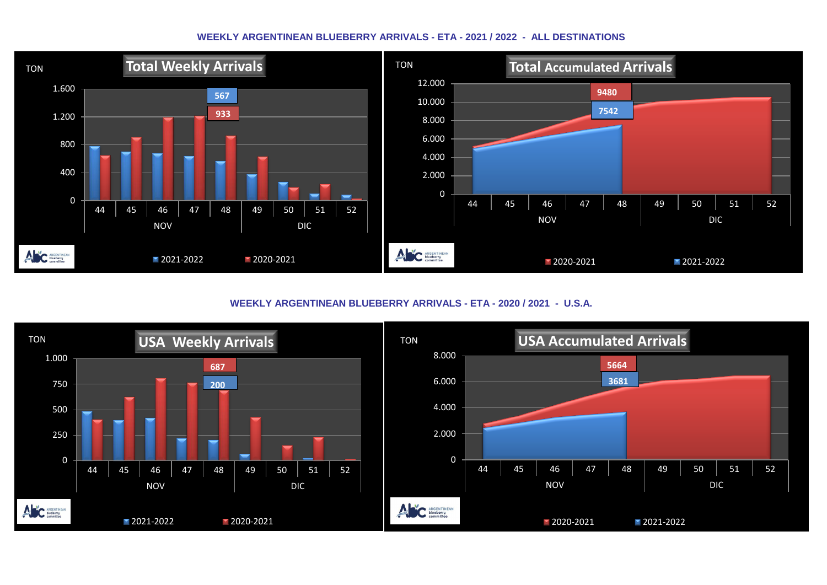## **WEEKLY ARGENTINEAN BLUEBERRY ARRIVALS - ETA - 2021 / 2022 - ALL DESTINATIONS**



**WEEKLY ARGENTINEAN BLUEBERRY ARRIVALS - ETA - 2020 / 2021 - U.S.A.**

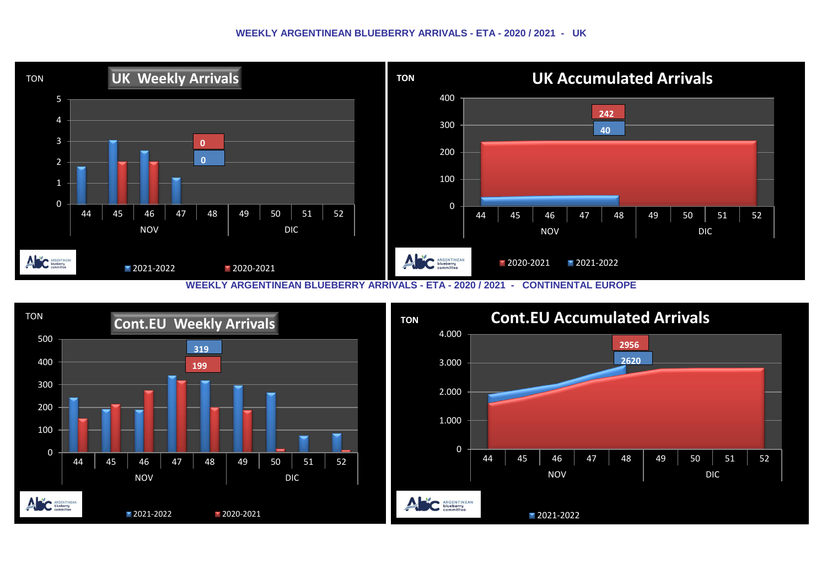## **WEEKLY ARGENTINEAN BLUEBERRY ARRIVALS - ETA - 2020 / 2021 - UK**



**WEEKLY ARGENTINEAN BLUEBERRY ARRIVALS - ETA - 2020 / 2021 - CONTINENTAL EUROPE**